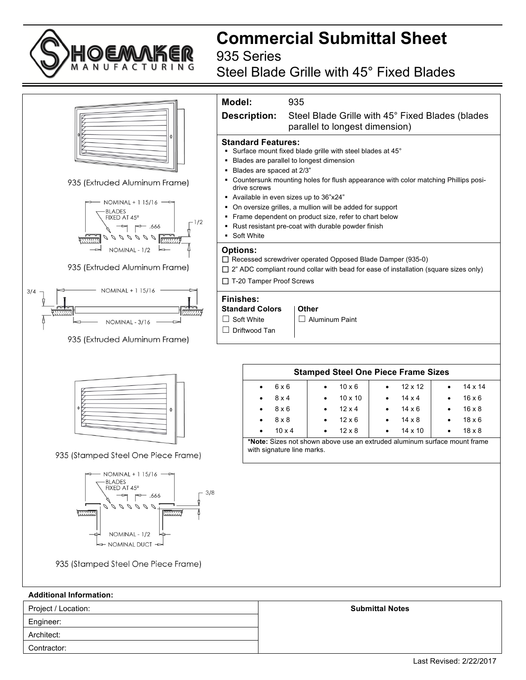Architect: Contractor:

**Commercial Submittal Sheet** 935 Series

Steel Blade Grille with 45° Fixed Blades